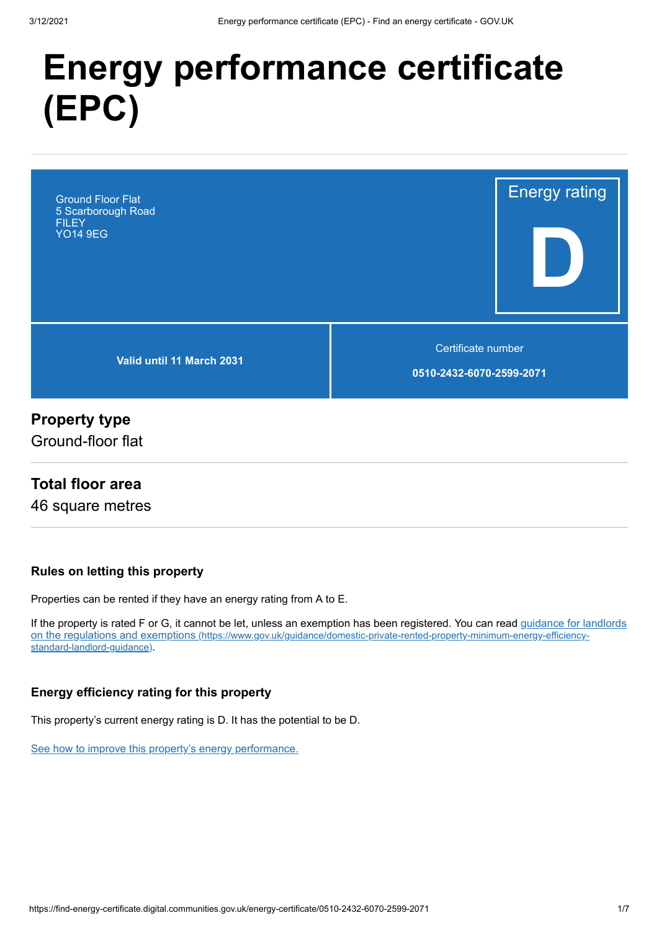# **Energy performance certificate (EPC)**



# **Property type**

Ground-floor flat

## **Total floor area**

46 square metres

#### **Rules on letting this property**

Properties can be rented if they have an energy rating from A to E.

[If the property is rated F or G, it cannot be let, unless an exemption has been registered. You can read guidance for landlords](https://www.gov.uk/guidance/domestic-private-rented-property-minimum-energy-efficiency-standard-landlord-guidance) on the regulations and exemptions (https://www.gov.uk/guidance/domestic-private-rented-property-minimum-energy-efficiencystandard-landlord-guidance).

#### **Energy efficiency rating for this property**

This property's current energy rating is D. It has the potential to be D.

[See how to improve this property's energy performance.](#page-3-0)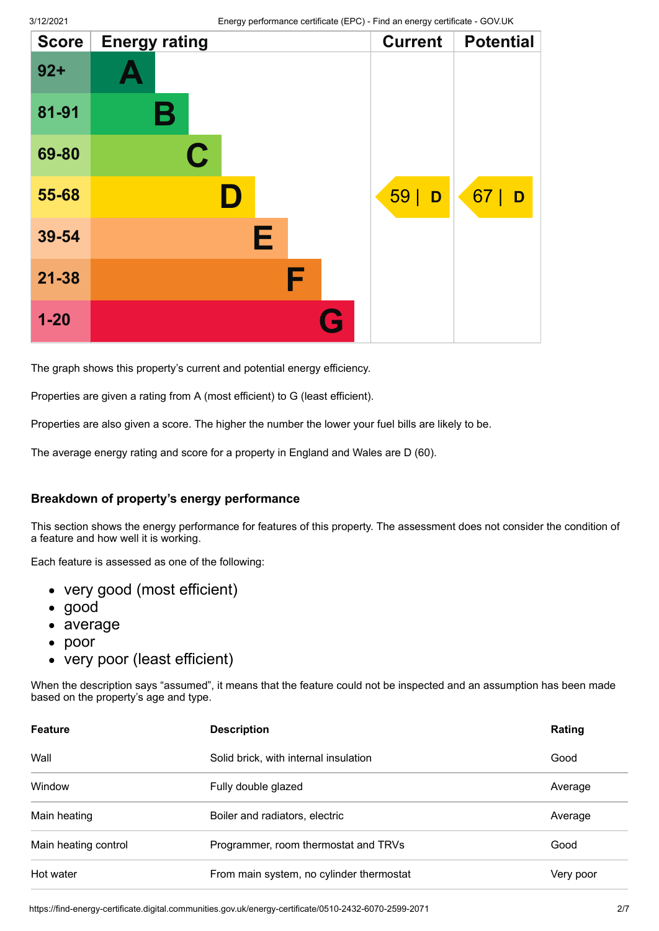| <b>Score</b> | <b>Energy rating</b> | <b>Current</b> | <b>Potential</b> |
|--------------|----------------------|----------------|------------------|
| $92 +$       |                      |                |                  |
| 81-91        | Β                    |                |                  |
| 69-80        | $\mathbf C$          |                |                  |
| 55-68        |                      | 59 <br>D       | 67<br>D          |
| 39-54        | Е                    |                |                  |
| $21 - 38$    | F                    |                |                  |
| $1 - 20$     |                      | G              |                  |

The graph shows this property's current and potential energy efficiency.

Properties are given a rating from A (most efficient) to G (least efficient).

Properties are also given a score. The higher the number the lower your fuel bills are likely to be.

The average energy rating and score for a property in England and Wales are D (60).

#### **Breakdown of property's energy performance**

This section shows the energy performance for features of this property. The assessment does not consider the condition of a feature and how well it is working.

Each feature is assessed as one of the following:

- very good (most efficient)
- good
- average
- $\bullet$ poor
- very poor (least efficient)

When the description says "assumed", it means that the feature could not be inspected and an assumption has been made based on the property's age and type.

| <b>Feature</b>       | <b>Description</b>                       | Rating    |
|----------------------|------------------------------------------|-----------|
| Wall                 | Solid brick, with internal insulation    | Good      |
| Window               | Fully double glazed                      | Average   |
| Main heating         | Boiler and radiators, electric           | Average   |
| Main heating control | Programmer, room thermostat and TRVs     | Good      |
| Hot water            | From main system, no cylinder thermostat | Very poor |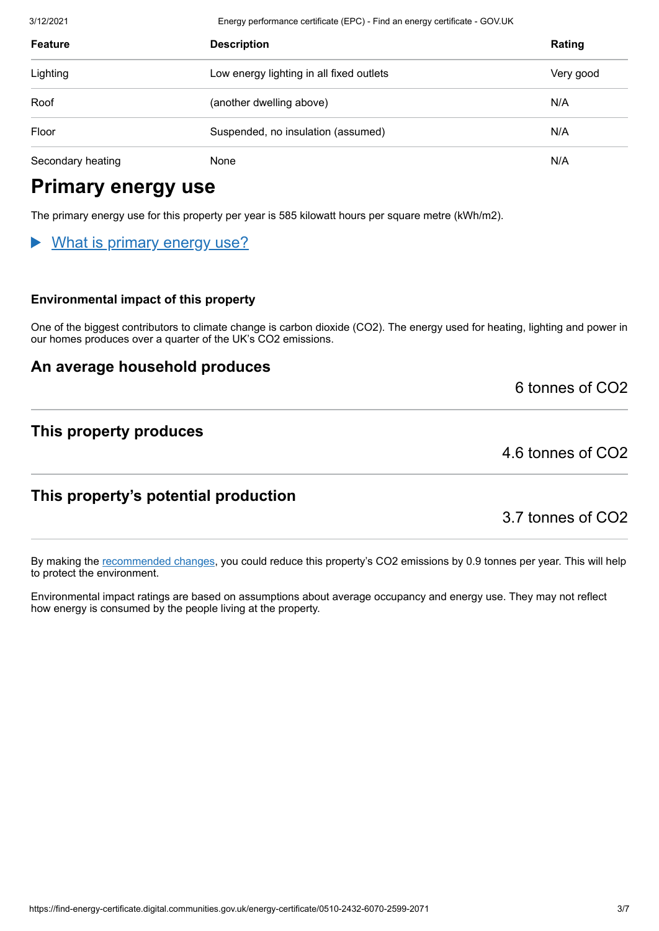3/12/2021 Energy performance certificate (EPC) - Find an energy certificate - GOV.UK

| <b>Feature</b>    | <b>Description</b>                       | Rating    |
|-------------------|------------------------------------------|-----------|
| Lighting          | Low energy lighting in all fixed outlets | Very good |
| Roof              | (another dwelling above)                 | N/A       |
| Floor             | Suspended, no insulation (assumed)       | N/A       |
| Secondary heating | None                                     | N/A       |

# **Primary energy use**

The primary energy use for this property per year is 585 kilowatt hours per square metre (kWh/m2).

## What is primary energy use?

#### **Environmental impact of this property**

One of the biggest contributors to climate change is carbon dioxide (CO2). The energy used for heating, lighting and power in our homes produces over a quarter of the UK's CO2 emissions.

## **An average household produces**

6 tonnes of CO2

## **This property produces**

4.6 tonnes of CO2

## **This property's potential production**

3.7 tonnes of CO2

By making the [recommended changes](#page-3-0), you could reduce this property's CO2 emissions by 0.9 tonnes per year. This will help to protect the environment.

Environmental impact ratings are based on assumptions about average occupancy and energy use. They may not reflect how energy is consumed by the people living at the property.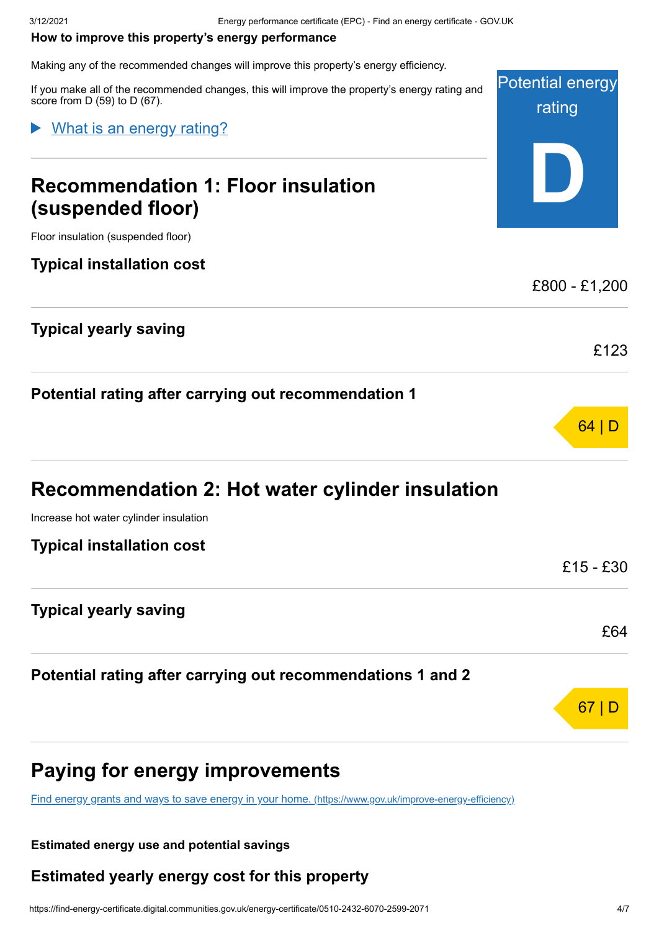#### <span id="page-3-0"></span>**How to improve this property's energy performance**

Making any of the recommended changes will improve this property's energy efficiency.

Potential energy rating **D** If you make all of the recommended changes, this will improve the property's energy rating and score from D (59) to D (67). **Recommendation 1: Floor insulation (suspended floor)** Floor insulation (suspended floor) **Typical installation cost** £800 - £1,200 **Typical yearly saving** £123 What is an energy rating?

#### **Potential rating after carrying out recommendation 1**

| <b>Recommendation 2: Hot water cylinder insulation</b> |  |  |  |  |  |  |  |  |
|--------------------------------------------------------|--|--|--|--|--|--|--|--|
|--------------------------------------------------------|--|--|--|--|--|--|--|--|

Increase hot water cylinder insulation

| <b>Typical installation cost</b> |     |  |  |
|----------------------------------|-----|--|--|
|                                  | £15 |  |  |
| <b>Typical yearly saving</b>     |     |  |  |
|                                  |     |  |  |

**Potential rating after carrying out recommendations 1 and 2**

# **Paying for energy improvements**

[Find energy grants and ways to save energy in your home.](https://www.gov.uk/improve-energy-efficiency) (https://www.gov.uk/improve-energy-efficiency)

#### **Estimated energy use and potential savings**

#### **Estimated yearly energy cost for this property**

64 | D

 $-£30$ 

£64

67 | D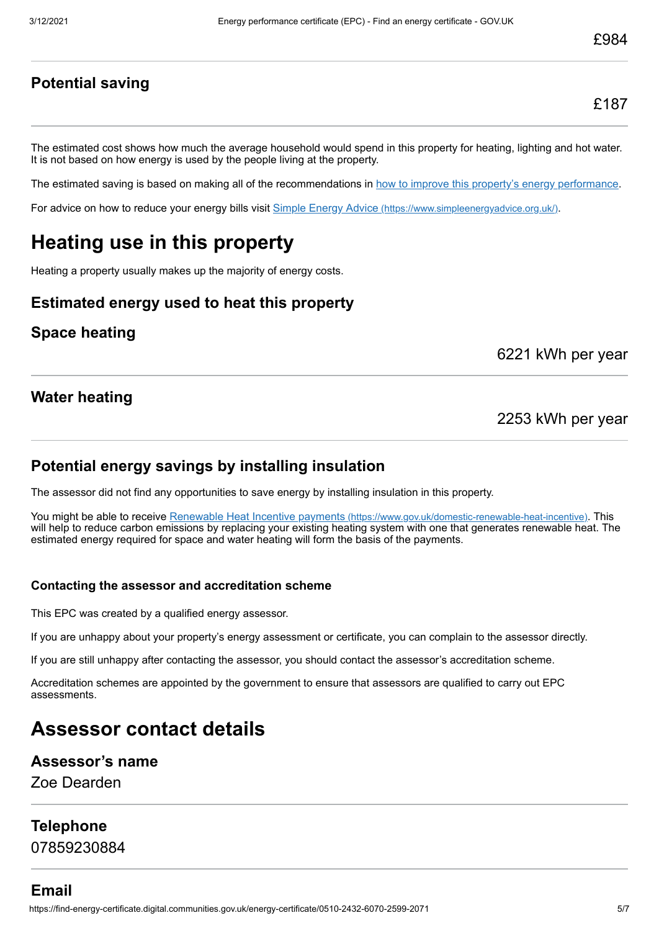#### **Potential saving**

The estimated cost shows how much the average household would spend in this property for heating, lighting and hot water. It is not based on how energy is used by the people living at the property.

The estimated saving is based on making all of the recommendations in [how to improve this property's energy performance.](#page-3-0)

For advice on how to reduce your energy bills visit Simple Energy Advice [\(https://www.simpleenergyadvice.org.uk/\)](https://www.simpleenergyadvice.org.uk/).

# **Heating use in this property**

Heating a property usually makes up the majority of energy costs.

#### **Estimated energy used to heat this property**

#### **Space heating**

6221 kWh per year

#### **Water heating**

2253 kWh per year

#### **Potential energy savings by installing insulation**

The assessor did not find any opportunities to save energy by installing insulation in this property.

You might be able to receive Renewable Heat Incentive payments [\(https://www.gov.uk/domestic-renewable-heat-incentive\)](https://www.gov.uk/domestic-renewable-heat-incentive). This will help to reduce carbon emissions by replacing your existing heating system with one that generates renewable heat. The estimated energy required for space and water heating will form the basis of the payments.

#### **Contacting the assessor and accreditation scheme**

This EPC was created by a qualified energy assessor.

If you are unhappy about your property's energy assessment or certificate, you can complain to the assessor directly.

If you are still unhappy after contacting the assessor, you should contact the assessor's accreditation scheme.

Accreditation schemes are appointed by the government to ensure that assessors are qualified to carry out EPC assessments.

# **Assessor contact details**

#### **Assessor's name**

Zoe Dearden

#### **Telephone**

07859230884